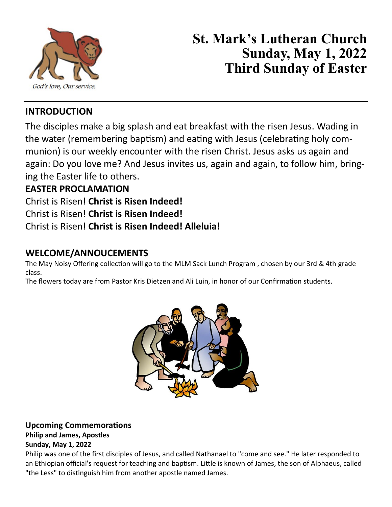

# **St. Mark's Lutheran Church Sunday, May 1, 2022 Third Sunday of Easter**

### **INTRODUCTION**

The disciples make a big splash and eat breakfast with the risen Jesus. Wading in the water (remembering baptism) and eating with Jesus (celebrating holy communion) is our weekly encounter with the risen Christ. Jesus asks us again and again: Do you love me? And Jesus invites us, again and again, to follow him, bringing the Easter life to others.

### **EASTER PROCLAMATION**

Christ is Risen! **Christ is Risen Indeed!**

Christ is Risen! **Christ is Risen Indeed!**

### Christ is Risen! **Christ is Risen Indeed! Alleluia!**

### **WELCOME/ANNOUCEMENTS**

The May Noisy Offering collection will go to the MLM Sack Lunch Program , chosen by our 3rd & 4th grade class.

The flowers today are from Pastor Kris Dietzen and Ali Luin, in honor of our Confirmation students.



### **Upcoming Commemorations Philip and James, Apostles**

**Sunday, May 1, 2022**

Philip was one of the first disciples of Jesus, and called Nathanael to "come and see." He later responded to an Ethiopian official's request for teaching and baptism. Little is known of James, the son of Alphaeus, called "the Less" to distinguish him from another apostle named James.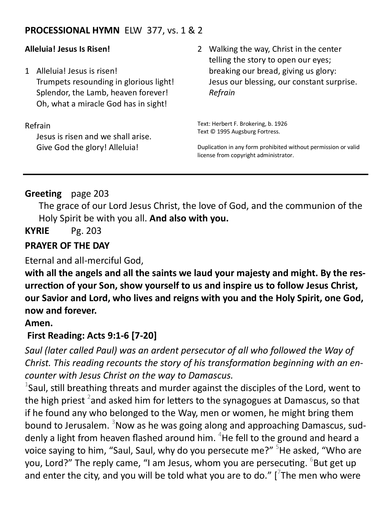#### **PROCESSIONAL HYMN** ELW 377, vs. 1 & 2

#### **Alleluia! Jesus Is Risen!**

1 Alleluia! Jesus is risen! Trumpets resounding in glorious light! Splendor, the Lamb, heaven forever! Oh, what a miracle God has in sight!

Refrain

Jesus is risen and we shall arise. Give God the glory! Alleluia!

2 Walking the way, Christ in the center telling the story to open our eyes; breaking our bread, giving us glory: Jesus our blessing, our constant surprise. *Refrain*

Text: Herbert F. Brokering, b. 1926 Text © 1995 Augsburg Fortress.

Duplication in any form prohibited without permission or valid license from copyright administrator.

#### **Greeting** page 203

The grace of our Lord Jesus Christ, the love of God, and the communion of the Holy Spirit be with you all. **And also with you.**

**KYRIE** Pg. 203

### **PRAYER OF THE DAY**

Eternal and all-merciful God,

**with all the angels and all the saints we laud your majesty and might. By the resurrection of your Son, show yourself to us and inspire us to follow Jesus Christ, our Savior and Lord, who lives and reigns with you and the Holy Spirit, one God, now and forever.**

#### **Amen.**

#### **First Reading: Acts 9:1-6 [7-20]**

*Saul (later called Paul) was an ardent persecutor of all who followed the Way of Christ. This reading recounts the story of his transformation beginning with an encounter with Jesus Christ on the way to Damascus.*

 $^{1}$ Saul, still breathing threats and murder against the disciples of the Lord, went to the high priest  $^2$ and asked him for letters to the synagogues at Damascus, so that if he found any who belonged to the Way, men or women, he might bring them bound to Jerusalem.  $3$ Now as he was going along and approaching Damascus, suddenly a light from heaven flashed around him.  $4$ He fell to the ground and heard a voice saying to him, "Saul, Saul, why do you persecute me?" <sup>5</sup>He asked, "Who are you, Lord?" The reply came, "I am Jesus, whom you are persecuting. <sup>6</sup>But get up and enter the city, and you will be told what you are to do." [ $^7$ The men who were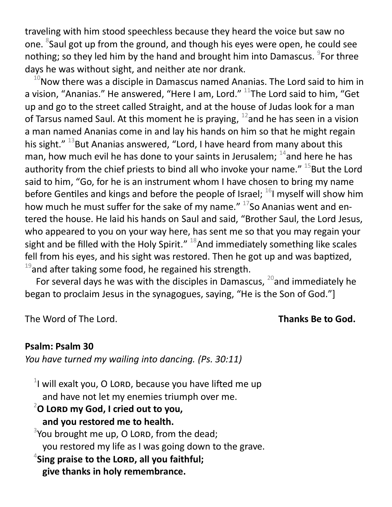traveling with him stood speechless because they heard the voice but saw no one. <sup>8</sup>Saul got up from the ground, and though his eyes were open, he could see nothing; so they led him by the hand and brought him into Damascus. <sup>9</sup>For three days he was without sight, and neither ate nor drank.

 $10$ Now there was a disciple in Damascus named Ananias. The Lord said to him in a vision, "Ananias." He answered, "Here I am, Lord."  $^{11}$ The Lord said to him, "Get up and go to the street called Straight, and at the house of Judas look for a man of Tarsus named Saul. At this moment he is praying,  $^{12}$  and he has seen in a vision a man named Ananias come in and lay his hands on him so that he might regain his sight."  $13$ But Ananias answered, "Lord, I have heard from many about this man, how much evil he has done to your saints in Jerusalem;  $14$  and here he has authority from the chief priests to bind all who invoke your name."  $15$  But the Lord said to him, "Go, for he is an instrument whom I have chosen to bring my name before Gentiles and kings and before the people of Israel;  $^{16}$ I myself will show him how much he must suffer for the sake of my name."  $17$ So Ananias went and entered the house. He laid his hands on Saul and said, "Brother Saul, the Lord Jesus, who appeared to you on your way here, has sent me so that you may regain your sight and be filled with the Holy Spirit."  $18$ And immediately something like scales fell from his eyes, and his sight was restored. Then he got up and was baptized,  $19$ and after taking some food, he regained his strength.

For several days he was with the disciples in Damascus,  $^{20}$  and immediately he began to proclaim Jesus in the synagogues, saying, "He is the Son of God."]

The Word of The Lord. **Thanks Be to God.** 

### **Psalm: Psalm 30**

*You have turned my wailing into dancing. (Ps. 30:11)*

 $1$ I will exalt you, O LORD, because you have lifted me up and have not let my enemies triumph over me.

<sup>2</sup>**O Lord my God, I cried out to you, and you restored me to health.**

 $3$ You brought me up, O LORD, from the dead;

you restored my life as I was going down to the grave.

4 **Sing praise to the Lord, all you faithful; give thanks in holy remembrance.**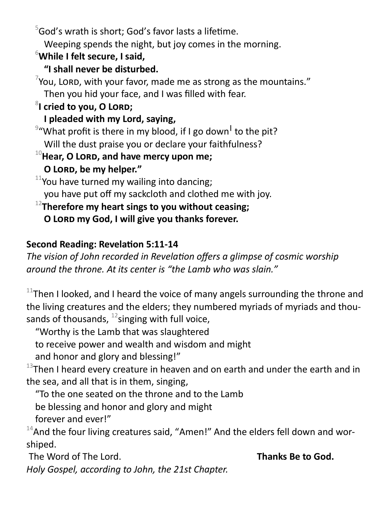$5$ God's wrath is short; God's favor lasts a lifetime.

Weeping spends the night, but joy comes in the morning.

# <sup>6</sup>**While I felt secure, I said,**

# **"I shall never be disturbed.**

 $\sqrt{7}$ You, LORD, with your favor, made me as strong as the mountains." Then you hid your face, and I was filled with fear.

# 8 **I cried to you, O Lord;**

**I pleaded with my Lord, saying,**

<sup>9</sup>"What profit is there in my blood, if I go down<sup>I</sup> to the pit? Will the dust praise you or declare your faithfulness?

# <sup>10</sup> Hear, O LORD, and have mercy upon me;

# **O Lord, be my helper."**

 $11$ You have turned my wailing into dancing;

you have put off my sackcloth and clothed me with joy.

# <sup>12</sup>**Therefore my heart sings to you without ceasing; O Lord my God, I will give you thanks forever.**

# **Second Reading: Revelation 5:11-14**

*The vision of John recorded in Revelation offers a glimpse of cosmic worship around the throne. At its center is "the Lamb who was slain."*

 $11$ Then I looked, and I heard the voice of many angels surrounding the throne and the living creatures and the elders; they numbered myriads of myriads and thousands of thousands,  $^{12}$ singing with full voice,

"Worthy is the Lamb that was slaughtered

to receive power and wealth and wisdom and might

and honor and glory and blessing!"

 $13$ Then I heard every creature in heaven and on earth and under the earth and in the sea, and all that is in them, singing,

"To the one seated on the throne and to the Lamb

be blessing and honor and glory and might

forever and ever!"

 $14$ And the four living creatures said, "Amen!" And the elders fell down and worshiped.

The Word of The Lord. **Thanks Be to God.** 

*Holy Gospel, according to John, the 21st Chapter.*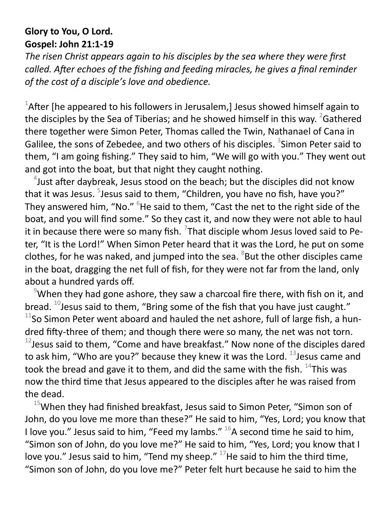# **Glory to You, O Lord. Gospel: John 21:1-19**

*The risen Christ appears again to his disciples by the sea where they were first called. After echoes of the fishing and feeding miracles, he gives a final reminder of the cost of a disciple's love and obedience.*

 $^{1}$ After [he appeared to his followers in Jerusalem,] Jesus showed himself again to the disciples by the Sea of Tiberias; and he showed himself in this way.  $^{2}$ Gathered there together were Simon Peter, Thomas called the Twin, Nathanael of Cana in Galilee, the sons of Zebedee, and two others of his disciples. <sup>3</sup>Simon Peter said to them, "I am going fishing." They said to him, "We will go with you." They went out and got into the boat, but that night they caught nothing.

 $^4$ Just after daybreak, Jesus stood on the beach; but the disciples did not know that it was Jesus. <sup>5</sup>Jesus said to them, "Children, you have no fish, have you?" They answered him, "No."  $6$ He said to them, "Cast the net to the right side of the boat, and you will find some." So they cast it, and now they were not able to haul it in because there were so many fish.  $7$ That disciple whom Jesus loved said to Peter, "It is the Lord!" When Simon Peter heard that it was the Lord, he put on some clothes, for he was naked, and jumped into the sea.  ${}^{8}$ But the other disciples came in the boat, dragging the net full of fish, for they were not far from the land, only about a hundred yards off.

<sup>9</sup>When they had gone ashore, they saw a charcoal fire there, with fish on it, and bread.  $^{10}$  Jesus said to them, "Bring some of the fish that you have just caught."  $11$ So Simon Peter went aboard and hauled the net ashore, full of large fish, a hundred fifty-three of them; and though there were so many, the net was not torn.  $12$  Jesus said to them, "Come and have breakfast." Now none of the disciples dared to ask him, "Who are you?" because they knew it was the Lord.  $^{13}$  Jesus came and took the bread and gave it to them, and did the same with the fish.  $^{14}$ This was now the third time that Jesus appeared to the disciples after he was raised from the dead.

 $15$ When they had finished breakfast, Jesus said to Simon Peter, "Simon son of John, do you love me more than these?" He said to him, "Yes, Lord; you know that I love you." Jesus said to him, "Feed my lambs."  $16A$  second time he said to him, "Simon son of John, do you love me?" He said to him, "Yes, Lord; you know that I love you." Jesus said to him, "Tend my sheep."  $17$ He said to him the third time, "Simon son of John, do you love me?" Peter felt hurt because he said to him the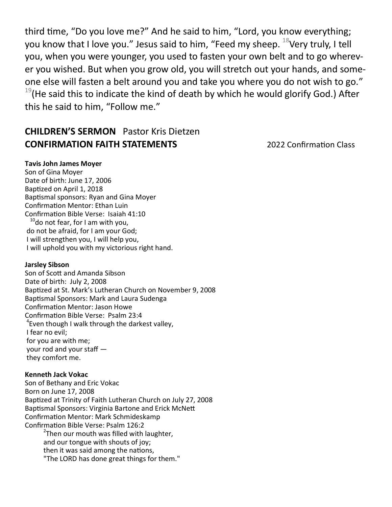third time, "Do you love me?" And he said to him, "Lord, you know everything; you know that I love you." Jesus said to him, "Feed my sheep.  $^{18}$ Very truly, I tell you, when you were younger, you used to fasten your own belt and to go wherever you wished. But when you grow old, you will stretch out your hands, and someone else will fasten a belt around you and take you where you do not wish to go."  $19$ (He said this to indicate the kind of death by which he would glorify God.) After this he said to him, "Follow me."

### **CHILDREN'S SERMON** Pastor Kris Dietzen **CONFIRMATION FAITH STATEMENTS** 2022 Confirmation Class

#### **Tavis John James Moyer**

Son of Gina Moyer Date of birth: June 17, 2006 Baptized on April 1, 2018 Baptismal sponsors: Ryan and Gina Moyer Confirmation Mentor: Ethan Luin Confirmation Bible Verse: Isaiah 41:10  $10$ do not fear, for I am with you, do not be afraid, for I am your God; I will strengthen you, I will help you, I will uphold you with my victorious right hand.

#### **Jarsley Sibson**

Son of Scott and Amanda Sibson Date of birth: July 2, 2008 Baptized at St. Mark's Lutheran Church on November 9, 2008 Baptismal Sponsors: Mark and Laura Sudenga Confirmation Mentor: Jason Howe Confirmation Bible Verse: Psalm 23:4  ${}^{4}$ Even though I walk through the darkest valley, I fear no evil; for you are with me; your rod and your staff they comfort me.

#### **Kenneth Jack Vokac**

Son of Bethany and Eric Vokac Born on June 17, 2008 Baptized at Trinity of Faith Lutheran Church on July 27, 2008 Baptismal Sponsors: Virginia Bartone and Erick McNett Confirmation Mentor: Mark Schmideskamp Confirmation Bible Verse: Psalm 126:2  $2$ Then our mouth was filled with laughter, and our tongue with shouts of joy; then it was said among the nations, "The LORD has done great things for them."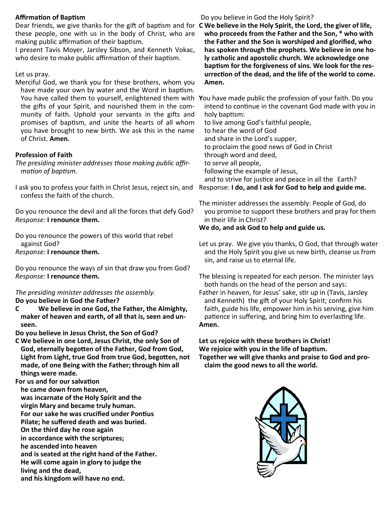#### **Affirmation of Baptism**

Dear friends, we give thanks for the gift of baptism and for **C We believe in the Holy Spirit, the Lord, the giver of life,**  these people, one with us in the body of Christ, who are making public affirmation of their baptism.

I present Tavis Moyer, Jarsley Sibson, and Kenneth Vokac, who desire to make public affirmation of their baptism.

#### Let us pray.

Merciful God, we thank you for these brothers, whom you have made your own by water and the Word in baptism. the gifts of your Spirit, and nourished them in the community of faith. Uphold your servants in the gifts and promises of baptism, and unite the hearts of all whom you have brought to new birth. We ask this in the name of Christ. **Amen.**

#### **Profession of Faith**

*The presiding minister addresses those making public affirmation of baptism.*

I ask you to profess your faith in Christ Jesus, reject sin, and confess the faith of the church.

Do you renounce the devil and all the forces that defy God? *Response:* **I renounce them.**

Do you renounce the powers of this world that rebel against God?

*Response:* **I renounce them.**

Do you renounce the ways of sin that draw you from God? *Response:* **I renounce them.**

#### *The presiding minister addresses the assembly.* **Do you believe in God the Father?**

**C We believe in one God, the Father, the Almighty, maker of heaven and earth, of all that is, seen and unseen.**

**Do you believe in Jesus Christ, the Son of God?**

- **C We believe in one Lord, Jesus Christ, the only Son of God, eternally begotten of the Father, God from God, Light from Light, true God from true God, begotten, not made, of one Being with the Father; through him all things were made.**
- **For us and for our salvation he came down from heaven, was incarnate of the Holy Spirit and the virgin Mary and became truly human. For our sake he was crucified under Pontius Pilate; he suffered death and was buried. On the third day he rose again in accordance with the scriptures; he ascended into heaven and is seated at the right hand of the Father. He will come again in glory to judge the living and the dead, and his kingdom will have no end.**

#### Do you believe in God the Holy Spirit?

**who proceeds from the Father and the Son, \* who with the Father and the Son is worshiped and glorified, who has spoken through the prophets. We believe in one holy catholic and apostolic church. We acknowledge one baptism for the forgiveness of sins. We look for the resurrection of the dead, and the life of the world to come. Amen.**

You have called them to yourself, enlightened them with You have made public the profession of your faith. Do you intend to continue in the covenant God made with you in holy baptism:

to live among God's faithful people,

to hear the word of God

and share in the Lord's supper,

to proclaim the good news of God in Christ

- through word and deed,
- to serve all people,

following the example of Jesus,

and to strive for justice and peace in all the Earth?

Response: **I do, and I ask for God to help and guide me.**

The minister addresses the assembly: People of God, do you promise to support these brothers and pray for them in their life in Christ?

**We do, and ask God to help and guide us.**

- Let us pray. We give you thanks, O God, that through water and the Holy Spirit you give us new birth, cleanse us from sin, and raise us to eternal life.
- The blessing is repeated for each person. The minister lays both hands on the head of the person and says:
- Father in heaven, for Jesus' sake, stir up in (Tavis, Jarsley and Kenneth) the gift of your Holy Spirit; confirm his faith, guide his life, empower him in his serving, give him patience in suffering, and bring him to everlasting life. **Amen.**

#### **Let us rejoice with these brothers in Christ! We rejoice with you in the life of baptism. Together we will give thanks and praise to God and proclaim the good news to all the world.**

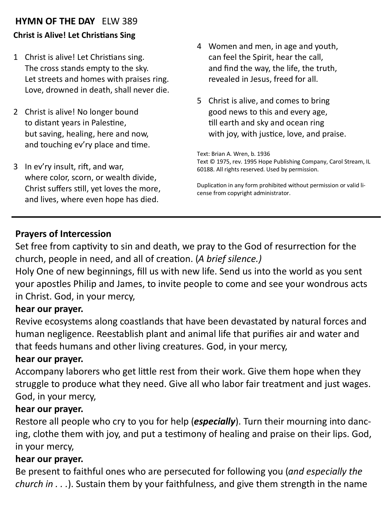### **HYMN OF THE DAY** ELW 389

#### **Christ is Alive! Let Christians Sing**

- 1 Christ is alive! Let Christians sing. The cross stands empty to the sky. Let streets and homes with praises ring. Love, drowned in death, shall never die.
- 2 Christ is alive! No longer bound to distant years in Palestine, but saving, healing, here and now, and touching ev'ry place and time.
- 3 In ev'ry insult, rift, and war, where color, scorn, or wealth divide, Christ suffers still, yet loves the more, and lives, where even hope has died.
- 4 Women and men, in age and youth, can feel the Spirit, hear the call, and find the way, the life, the truth, revealed in Jesus, freed for all.
- 5 Christ is alive, and comes to bring good news to this and every age, till earth and sky and ocean ring with joy, with justice, love, and praise.

Text: Brian A. Wren, b. 1936

Text © 1975, rev. 1995 Hope Publishing Company, Carol Stream, IL 60188. All rights reserved. Used by permission.

Duplication in any form prohibited without permission or valid license from copyright administrator.

### **Prayers of Intercession**

Set free from captivity to sin and death, we pray to the God of resurrection for the church, people in need, and all of creation. (*A brief silence.)*

Holy One of new beginnings, fill us with new life. Send us into the world as you sent your apostles Philip and James, to invite people to come and see your wondrous acts in Christ. God, in your mercy,

### **hear our prayer.**

Revive ecosystems along coastlands that have been devastated by natural forces and human negligence. Reestablish plant and animal life that purifies air and water and that feeds humans and other living creatures. God, in your mercy,

### **hear our prayer.**

Accompany laborers who get little rest from their work. Give them hope when they struggle to produce what they need. Give all who labor fair treatment and just wages. God, in your mercy,

#### **hear our prayer.**

Restore all people who cry to you for help (*especially*). Turn their mourning into dancing, clothe them with joy, and put a testimony of healing and praise on their lips. God, in your mercy,

### **hear our prayer.**

Be present to faithful ones who are persecuted for following you (*and especially the church in . . .*). Sustain them by your faithfulness, and give them strength in the name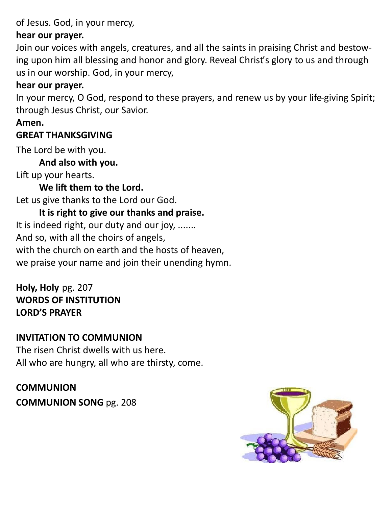of Jesus. God, in your mercy,

### **hear our prayer.**

Join our voices with angels, creatures, and all the saints in praising Christ and bestowing upon him all blessing and honor and glory. Reveal Christ's glory to us and through us in our worship. God, in your mercy,

### **hear our prayer.**

In your mercy, O God, respond to these prayers, and renew us by your life-giving Spirit; through Jesus Christ, our Savior.

### **Amen.**

### **GREAT THANKSGIVING**

The Lord be with you.

**And also with you.** 

Lift up your hearts.

**We lift them to the Lord.**  Let us give thanks to the Lord our God.

**It is right to give our thanks and praise.**  It is indeed right, our duty and our joy, ....... And so, with all the choirs of angels, with the church on earth and the hosts of heaven, we praise your name and join their unending hymn.

**Holy, Holy** pg. 207 **WORDS OF INSTITUTION LORD'S PRAYER** 

# **INVITATION TO COMMUNION**

The risen Christ dwells with us here. All who are hungry, all who are thirsty, come.

**COMMUNION COMMUNION SONG** pg. 208

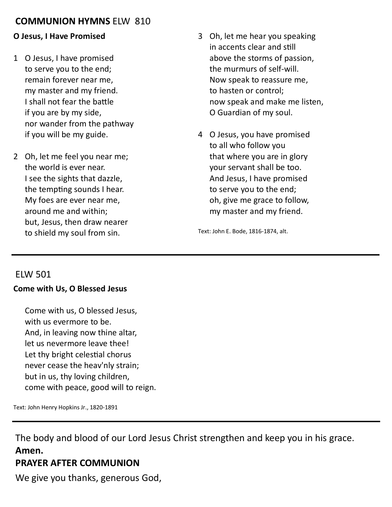#### **COMMUNION HYMNS** ELW 810

#### **O Jesus, I Have Promised**

- 1 O Jesus, I have promised to serve you to the end; remain forever near me, my master and my friend. I shall not fear the battle if you are by my side, nor wander from the pathway if you will be my guide.
- 2 Oh, let me feel you near me; the world is ever near. I see the sights that dazzle, the tempting sounds I hear. My foes are ever near me, around me and within; but, Jesus, then draw nearer to shield my soul from sin.
- 3 Oh, let me hear you speaking in accents clear and still above the storms of passion, the murmurs of self-will. Now speak to reassure me, to hasten or control; now speak and make me listen, O Guardian of my soul.
- 4 O Jesus, you have promised to all who follow you that where you are in glory your servant shall be too. And Jesus, I have promised to serve you to the end; oh, give me grace to follow, my master and my friend.

Text: John E. Bode, 1816-1874, alt.

#### ELW 501

#### **Come with Us, O Blessed Jesus**

Come with us, O blessed Jesus, with us evermore to be. And, in leaving now thine altar, let us nevermore leave thee! Let thy bright celestial chorus never cease the heav'nly strain; but in us, thy loving children, come with peace, good will to reign.

Text: John Henry Hopkins Jr., 1820-1891

The body and blood of our Lord Jesus Christ strengthen and keep you in his grace. **Amen.**

#### **PRAYER AFTER COMMUNION**

We give you thanks, generous God,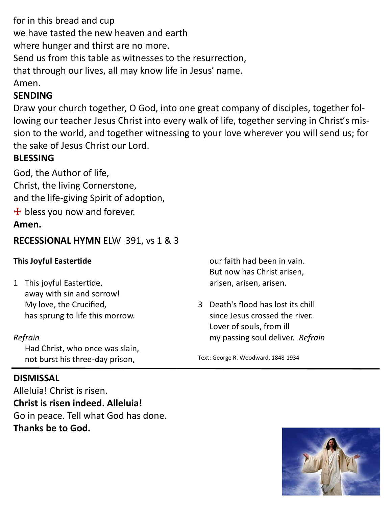for in this bread and cup we have tasted the new heaven and earth where hunger and thirst are no more. Send us from this table as witnesses to the resurrection, that through our lives, all may know life in Jesus' name. Amen.

# **SENDING**

Draw your church together, O God, into one great company of disciples, together following our teacher Jesus Christ into every walk of life, together serving in Christ's mission to the world, and together witnessing to your love wherever you will send us; for the sake of Jesus Christ our Lord.

### **BLESSING**

God, the Author of life, Christ, the living Cornerstone, and the life-giving Spirit of adoption,  $+$  bless you now and forever.

### **Amen.**

### **RECESSIONAL HYMN** ELW 391, vs 1 & 3

### **This Joyful Eastertide**

1 This joyful Eastertide, away with sin and sorrow! My love, the Crucified, has sprung to life this morrow.

#### *Refrain*

Had Christ, who once was slain, not burst his three-day prison,

# **DISMISSAL**

Alleluia! Christ is risen. **Christ is risen indeed. Alleluia!** Go in peace. Tell what God has done. **Thanks be to God.**

our faith had been in vain. But now has Christ arisen, arisen, arisen, arisen.

3 Death's flood has lost its chill since Jesus crossed the river. Lover of souls, from ill my passing soul deliver. *Refrain*

Text: George R. Woodward, 1848-1934